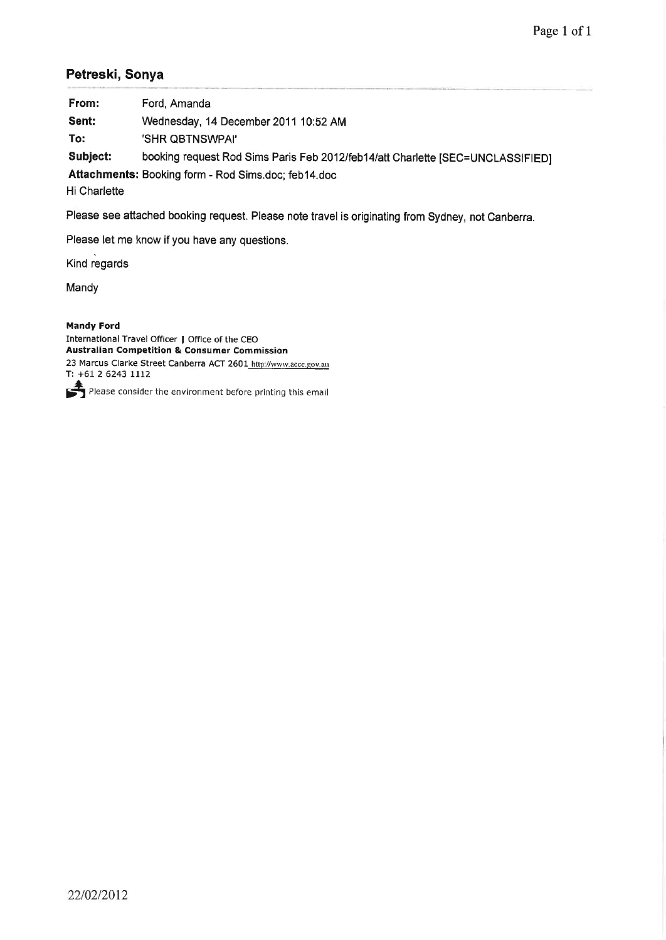### Petreski, Sonya

| From:                                               | Ford, Amanda                                                                   |  |  |  |
|-----------------------------------------------------|--------------------------------------------------------------------------------|--|--|--|
| Sent:                                               | Wednesday, 14 December 2011 10:52 AM                                           |  |  |  |
| To:                                                 | 'SHR QBTNSWPAI'                                                                |  |  |  |
| Subject:                                            | booking request Rod Sims Paris Feb 2012/feb14/att Charlette [SEC=UNCLASSIFIED] |  |  |  |
| Attachments: Booking form - Rod Sims.doc; feb14.doc |                                                                                |  |  |  |

**Hi Charlette** 

Please see attached booking request. Please note travel is originating from Sydney, not Canberra.

Please let me know if you have any questions.

Kind regards

Mandy

#### Mandy Ford

Internatlonal Travel Officer I Offlce of the CEO Australian Competition & Consumer Commission 23 Marcus Clarke Street Canberra ACT 2601 http://www.accc.gov.au T:  $+61$  2 6243 1112

Please consider the environment before printing this email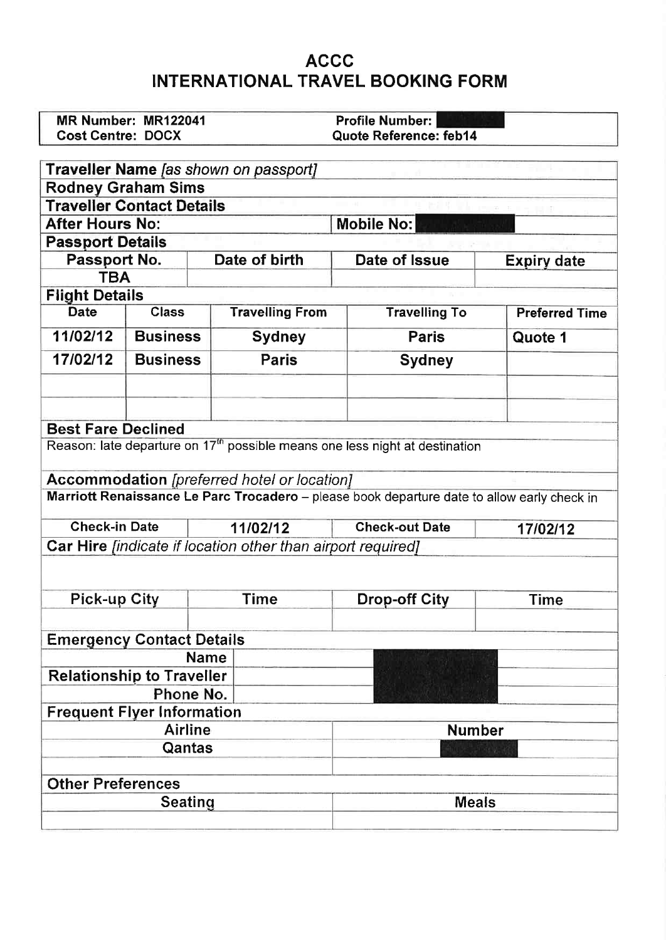### ACCG INTERNATIONAL TRAVEL BOOKING FORM

|                                                            | MR Number: MR122041 |                                                                           | <b>Profile Number:</b>                                                                      |                       |  |  |  |
|------------------------------------------------------------|---------------------|---------------------------------------------------------------------------|---------------------------------------------------------------------------------------------|-----------------------|--|--|--|
| <b>Cost Centre: DOCX</b>                                   |                     |                                                                           | Quote Reference: feb14                                                                      |                       |  |  |  |
|                                                            |                     |                                                                           |                                                                                             |                       |  |  |  |
|                                                            |                     | <b>Traveller Name</b> [as shown on passport]                              |                                                                                             |                       |  |  |  |
| <b>Rodney Graham Sims</b>                                  |                     |                                                                           |                                                                                             |                       |  |  |  |
| <b>Traveller Contact Details</b><br><b>After Hours No:</b> |                     |                                                                           |                                                                                             |                       |  |  |  |
|                                                            |                     |                                                                           | <b>Mobile No:</b>                                                                           |                       |  |  |  |
| <b>Passport Details</b>                                    |                     | Date of birth                                                             |                                                                                             |                       |  |  |  |
| Passport No.<br><b>TBA</b>                                 |                     |                                                                           | Date of Issue                                                                               | <b>Expiry date</b>    |  |  |  |
|                                                            |                     |                                                                           |                                                                                             |                       |  |  |  |
| <b>Flight Details</b><br><b>Date</b>                       | <b>Class</b>        | <b>Travelling From</b>                                                    | <b>Travelling To</b>                                                                        | <b>Preferred Time</b> |  |  |  |
| 11/02/12                                                   | <b>Business</b>     |                                                                           |                                                                                             |                       |  |  |  |
|                                                            |                     | <b>Sydney</b>                                                             | <b>Paris</b>                                                                                | Quote 1               |  |  |  |
| 17/02/12                                                   | <b>Business</b>     | <b>Paris</b>                                                              | <b>Sydney</b>                                                                               |                       |  |  |  |
|                                                            |                     |                                                                           |                                                                                             |                       |  |  |  |
|                                                            |                     |                                                                           |                                                                                             |                       |  |  |  |
| <b>Best Fare Declined</b>                                  |                     |                                                                           |                                                                                             |                       |  |  |  |
|                                                            |                     |                                                                           | Reason: late departure on 17 <sup>th</sup> possible means one less night at destination     |                       |  |  |  |
|                                                            |                     |                                                                           |                                                                                             |                       |  |  |  |
|                                                            |                     | <b>Accommodation</b> [preferred hotel or location]                        |                                                                                             |                       |  |  |  |
|                                                            |                     |                                                                           | Marriott Renaissance Le Parc Trocadero - please book departure date to allow early check in |                       |  |  |  |
| <b>Check-in Date</b>                                       |                     | 11/02/12                                                                  | <b>Check-out Date</b>                                                                       | 17/02/12              |  |  |  |
|                                                            |                     | <b>Car Hire</b> <i>[indicate if location other than airport required]</i> |                                                                                             |                       |  |  |  |
|                                                            |                     |                                                                           |                                                                                             |                       |  |  |  |
|                                                            |                     |                                                                           |                                                                                             |                       |  |  |  |
| <b>Pick-up City</b>                                        |                     | Time                                                                      | <b>Drop-off City</b>                                                                        | <b>Time</b>           |  |  |  |
|                                                            |                     |                                                                           |                                                                                             |                       |  |  |  |
| <b>Emergency Contact Details</b>                           |                     |                                                                           |                                                                                             |                       |  |  |  |
|                                                            |                     | <b>Name</b>                                                               |                                                                                             |                       |  |  |  |
| <b>Relationship to Traveller</b>                           |                     |                                                                           |                                                                                             |                       |  |  |  |
|                                                            | Phone No.           |                                                                           |                                                                                             |                       |  |  |  |
| <b>Frequent Flyer Information</b>                          |                     |                                                                           |                                                                                             |                       |  |  |  |
|                                                            | <b>Airline</b>      |                                                                           | <b>Number</b>                                                                               |                       |  |  |  |
|                                                            | Qantas              |                                                                           |                                                                                             |                       |  |  |  |
|                                                            |                     |                                                                           |                                                                                             |                       |  |  |  |
| <b>Other Preferences</b>                                   |                     |                                                                           |                                                                                             |                       |  |  |  |
|                                                            | <b>Seating</b>      |                                                                           | <b>Meals</b>                                                                                |                       |  |  |  |
|                                                            |                     |                                                                           |                                                                                             |                       |  |  |  |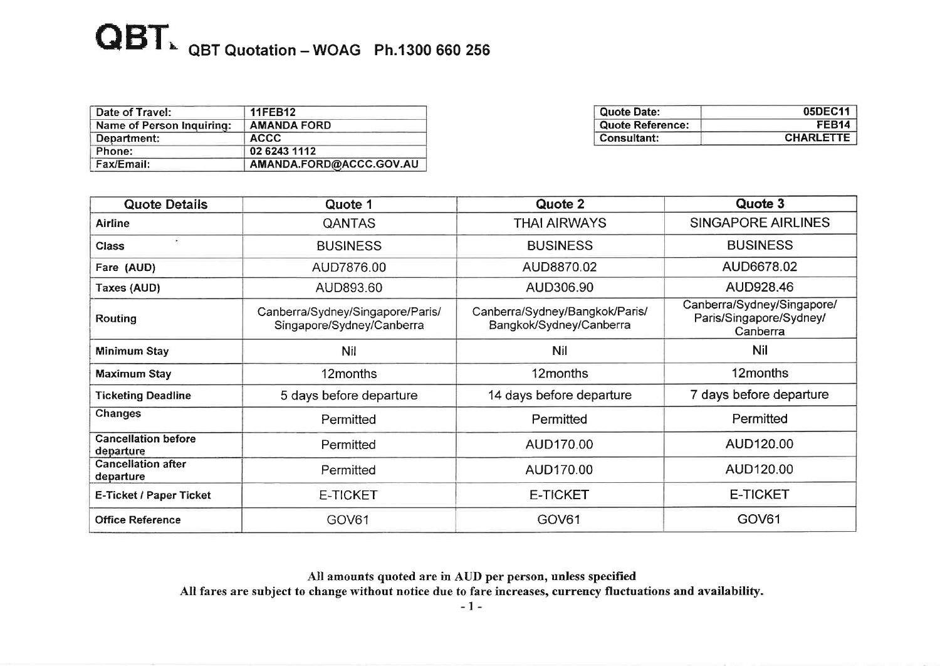## $\overline{\mathbf{QBT}}$  QBT Quotation - WOAG Ph.1300 660 256

| Date of Travel:           | <b>11FEB12</b>          |
|---------------------------|-------------------------|
| Name of Person Inquiring: | <b>AMANDA FORD</b>      |
| Department:               | ACCC.                   |
| Phone:                    | 02 6243 1112            |
| Fax/Email:                | AMANDA.FORD@ACCC.GOV.AU |

| Quote Date:          | 05DEC11           |
|----------------------|-------------------|
| Quote Reference:     | FEB <sub>14</sub> |
| <b>' Consultant:</b> | <b>CHARLETTE</b>  |

| <b>Quote Details</b>                    | Quote 1                                                       | Quote 2                                                                                                                        | Quote 3                 |
|-----------------------------------------|---------------------------------------------------------------|--------------------------------------------------------------------------------------------------------------------------------|-------------------------|
| <b>Airline</b>                          | <b>QANTAS</b>                                                 | <b>THAI AIRWAYS</b>                                                                                                            | SINGAPORE AIRLINES      |
| $\epsilon$<br><b>Class</b>              | <b>BUSINESS</b>                                               | <b>BUSINESS</b>                                                                                                                | <b>BUSINESS</b>         |
| Fare (AUD)                              | AUD7876.00                                                    | AUD8870.02                                                                                                                     | AUD6678.02              |
| Taxes (AUD)                             | AUD893.60                                                     | AUD306.90                                                                                                                      | AUD928.46               |
| <b>Routing</b>                          | Canberra/Sydney/Singapore/Paris/<br>Singapore/Sydney/Canberra | Canberra/Sydney/Singapore/<br>Canberra/Sydney/Bangkok/Paris/<br>Paris/Singapore/Sydney/<br>Bangkok/Sydney/Canberra<br>Canberra |                         |
| Minimum Stay                            | <b>Nil</b>                                                    | Nil                                                                                                                            | <b>Nil</b>              |
| Maximum Stay                            | 12months                                                      | 12months                                                                                                                       | 12months                |
| <b>Ticketing Deadline</b>               | 5 days before departure                                       | 14 days before departure                                                                                                       | 7 days before departure |
| <b>Changes</b>                          | Permitted                                                     | Permitted                                                                                                                      | Permitted               |
| <b>Cancellation before</b><br>departure | Permitted                                                     | AUD170.00                                                                                                                      | AUD120.00               |
| <b>Cancellation after</b><br>departure  | Permitted                                                     | AUD120.00<br>AUD170.00                                                                                                         |                         |
| E-Ticket / Paper Ticket                 | E-TICKET                                                      | <b>E-TICKET</b>                                                                                                                | <b>E-TICKET</b>         |
| <b>Office Reference</b>                 | GOV61                                                         | GOV61                                                                                                                          | GOV <sub>61</sub>       |

All amounts quoted are in AUD per person, unless specified All fares are subject to change without notice due to fare increases, currency fluctuations and availability.

-1-